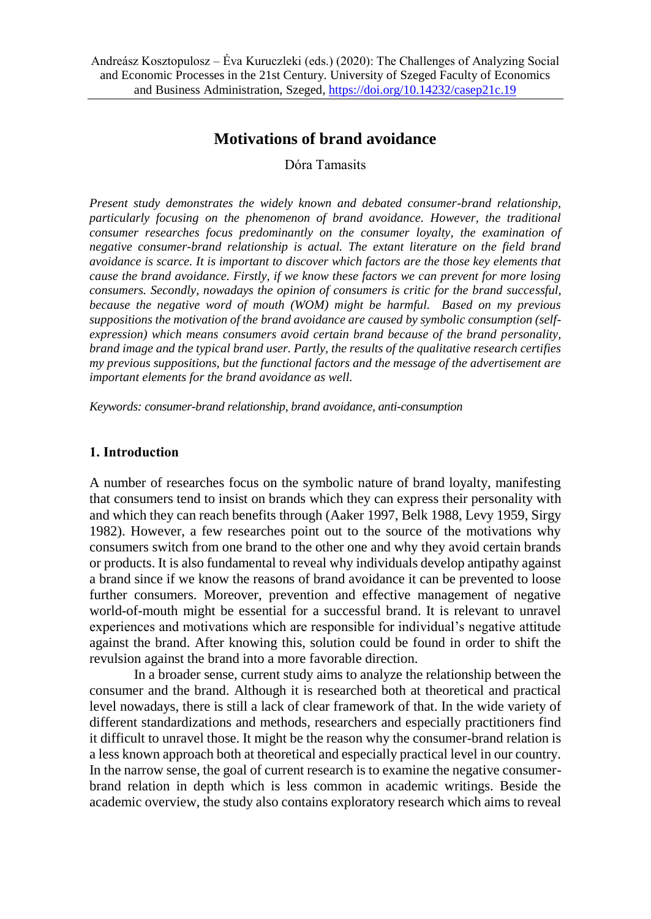# **Motivations of brand avoidance**

Dóra Tamasits

*Present study demonstrates the widely known and debated consumer-brand relationship, particularly focusing on the phenomenon of brand avoidance. However, the traditional consumer researches focus predominantly on the consumer loyalty, the examination of negative consumer-brand relationship is actual. The extant literature on the field brand avoidance is scarce. It is important to discover which factors are the those key elements that cause the brand avoidance. Firstly, if we know these factors we can prevent for more losing consumers. Secondly, nowadays the opinion of consumers is critic for the brand successful, because the negative word of mouth (WOM) might be harmful. Based on my previous suppositions the motivation of the brand avoidance are caused by symbolic consumption (selfexpression) which means consumers avoid certain brand because of the brand personality, brand image and the typical brand user. Partly, the results of the qualitative research certifies my previous suppositions, but the functional factors and the message of the advertisement are important elements for the brand avoidance as well.*

*Keywords: consumer-brand relationship, brand avoidance, anti-consumption*

### **1. Introduction**

A number of researches focus on the symbolic nature of brand loyalty, manifesting that consumers tend to insist on brands which they can express their personality with and which they can reach benefits through (Aaker 1997, Belk 1988, Levy 1959, Sirgy 1982). However, a few researches point out to the source of the motivations why consumers switch from one brand to the other one and why they avoid certain brands or products. It is also fundamental to reveal why individuals develop antipathy against a brand since if we know the reasons of brand avoidance it can be prevented to loose further consumers. Moreover, prevention and effective management of negative world-of-mouth might be essential for a successful brand. It is relevant to unravel experiences and motivations which are responsible for individual's negative attitude against the brand. After knowing this, solution could be found in order to shift the revulsion against the brand into a more favorable direction.

In a broader sense, current study aims to analyze the relationship between the consumer and the brand. Although it is researched both at theoretical and practical level nowadays, there is still a lack of clear framework of that. In the wide variety of different standardizations and methods, researchers and especially practitioners find it difficult to unravel those. It might be the reason why the consumer-brand relation is a less known approach both at theoretical and especially practical level in our country. In the narrow sense, the goal of current research is to examine the negative consumerbrand relation in depth which is less common in academic writings. Beside the academic overview, the study also contains exploratory research which aims to reveal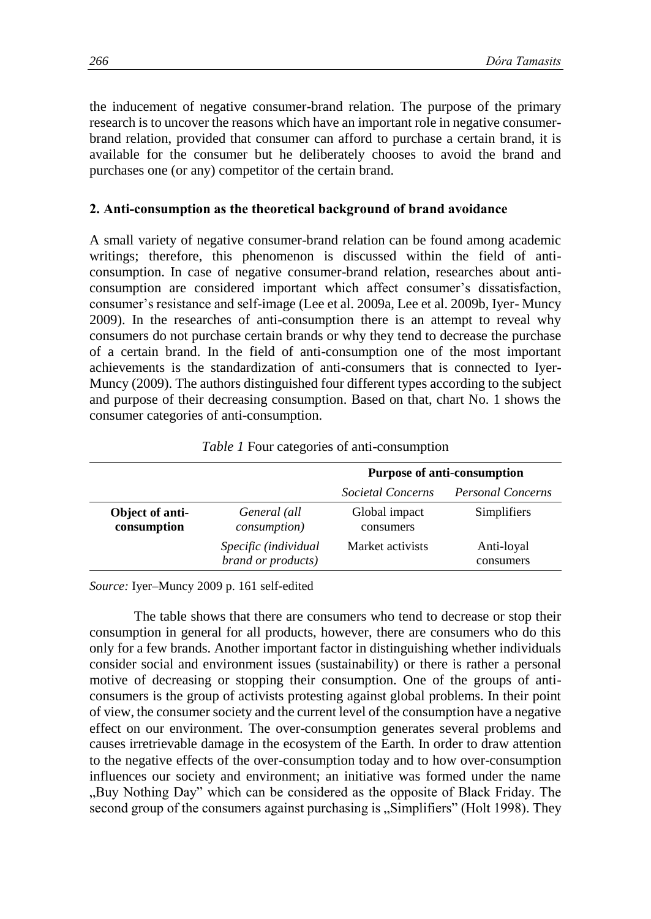the inducement of negative consumer-brand relation. The purpose of the primary research is to uncover the reasons which have an important role in negative consumerbrand relation, provided that consumer can afford to purchase a certain brand, it is available for the consumer but he deliberately chooses to avoid the brand and purchases one (or any) competitor of the certain brand.

### **2. Anti-consumption as the theoretical background of brand avoidance**

A small variety of negative consumer-brand relation can be found among academic writings; therefore, this phenomenon is discussed within the field of anticonsumption. In case of negative consumer-brand relation, researches about anticonsumption are considered important which affect consumer's dissatisfaction, consumer's resistance and self-image (Lee et al. 2009a, Lee et al. 2009b, Iyer- Muncy 2009). In the researches of anti-consumption there is an attempt to reveal why consumers do not purchase certain brands or why they tend to decrease the purchase of a certain brand. In the field of anti-consumption one of the most important achievements is the standardization of anti-consumers that is connected to Iyer-Muncy (2009). The authors distinguished four different types according to the subject and purpose of their decreasing consumption. Based on that, chart No. 1 shows the consumer categories of anti-consumption.

|                                |                                            | <b>Purpose of anti-consumption</b> |                          |
|--------------------------------|--------------------------------------------|------------------------------------|--------------------------|
|                                |                                            | Societal Concerns                  | <b>Personal Concerns</b> |
| Object of anti-<br>consumption | General (all<br><i>consumption</i> )       | Global impact<br>consumers         | Simplifiers              |
|                                | Specific (individual<br>brand or products) | Market activists                   | Anti-loyal<br>consumers  |

*Table 1* Four categories of anti-consumption

*Source:* Iyer–Muncy 2009 p. 161 self-edited

The table shows that there are consumers who tend to decrease or stop their consumption in general for all products, however, there are consumers who do this only for a few brands. Another important factor in distinguishing whether individuals consider social and environment issues (sustainability) or there is rather a personal motive of decreasing or stopping their consumption. One of the groups of anticonsumers is the group of activists protesting against global problems. In their point of view, the consumer society and the current level of the consumption have a negative effect on our environment. The over-consumption generates several problems and causes irretrievable damage in the ecosystem of the Earth. In order to draw attention to the negative effects of the over-consumption today and to how over-consumption influences our society and environment; an initiative was formed under the name "Buy Nothing Day" which can be considered as the opposite of Black Friday. The second group of the consumers against purchasing is "Simplifiers" (Holt 1998). They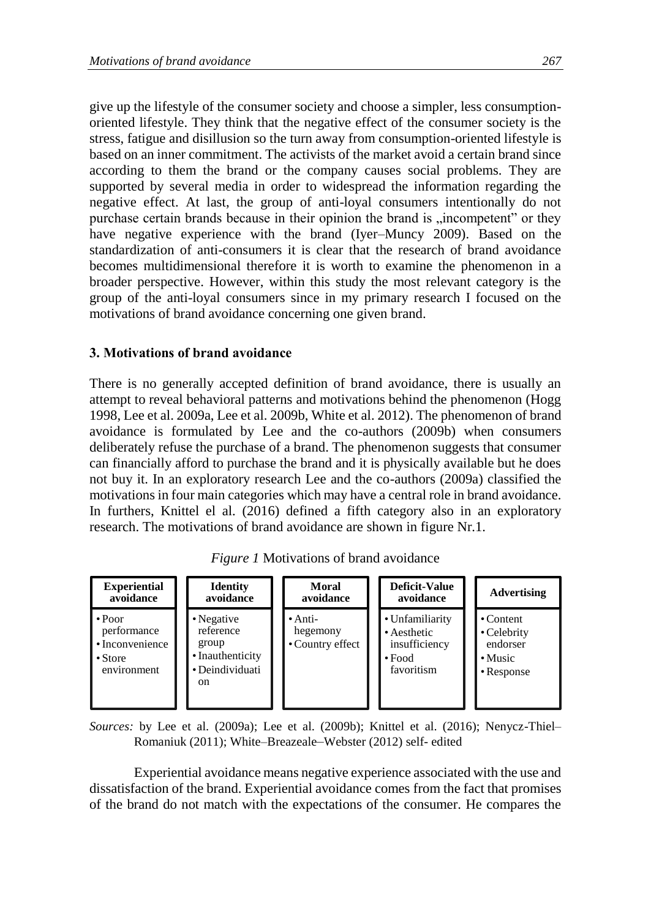give up the lifestyle of the consumer society and choose a simpler, less consumptionoriented lifestyle. They think that the negative effect of the consumer society is the stress, fatigue and disillusion so the turn away from consumption-oriented lifestyle is based on an inner commitment. The activists of the market avoid a certain brand since according to them the brand or the company causes social problems. They are supported by several media in order to widespread the information regarding the negative effect. At last, the group of anti-loyal consumers intentionally do not purchase certain brands because in their opinion the brand is "incompetent" or they have negative experience with the brand (Iyer–Muncy 2009). Based on the standardization of anti-consumers it is clear that the research of brand avoidance becomes multidimensional therefore it is worth to examine the phenomenon in a broader perspective. However, within this study the most relevant category is the group of the anti-loyal consumers since in my primary research I focused on the motivations of brand avoidance concerning one given brand.

### **3. Motivations of brand avoidance**

There is no generally accepted definition of brand avoidance, there is usually an attempt to reveal behavioral patterns and motivations behind the phenomenon (Hogg 1998, Lee et al. 2009a, Lee et al. 2009b, White et al. 2012). The phenomenon of brand avoidance is formulated by Lee and the co-authors (2009b) when consumers deliberately refuse the purchase of a brand. The phenomenon suggests that consumer can financially afford to purchase the brand and it is physically available but he does not buy it. In an exploratory research Lee and the co-authors (2009a) classified the motivations in four main categories which may have a central role in brand avoidance. In furthers, Knittel el al. (2016) defined a fifth category also in an exploratory research. The motivations of brand avoidance are shown in figure Nr.1.

| <b>Experiential</b>                                                            | <b>Identity</b>                                                               | Moral                                           | Deficit-Value                                                                 | <b>Advertising</b>                                                        |
|--------------------------------------------------------------------------------|-------------------------------------------------------------------------------|-------------------------------------------------|-------------------------------------------------------------------------------|---------------------------------------------------------------------------|
| avoidance                                                                      | avoidance                                                                     | avoidance                                       | avoidance                                                                     |                                                                           |
| $\cdot$ Poor<br>performance<br>• Inconvenience<br>$\cdot$ Store<br>environment | • Negative<br>reference<br>group<br>• Inauthenticity<br>• Deindividuati<br>on | $\bullet$ Anti-<br>hegemony<br>• Country effect | • Unfamiliarity<br>• Aesthetic<br>insufficiency<br>$\cdot$ Food<br>favoritism | $\cdot$ Content<br>• Celebrity<br>endorser<br>$\cdot$ Music<br>• Response |

*Figure 1* Motivations of brand avoidance

*Sources:* by Lee et al. (2009a); Lee et al. (2009b); Knittel et al. (2016); Nenycz-Thiel– Romaniuk (2011); White–Breazeale–Webster (2012) self- edited

Experiential avoidance means negative experience associated with the use and dissatisfaction of the brand. Experiential avoidance comes from the fact that promises of the brand do not match with the expectations of the consumer. He compares the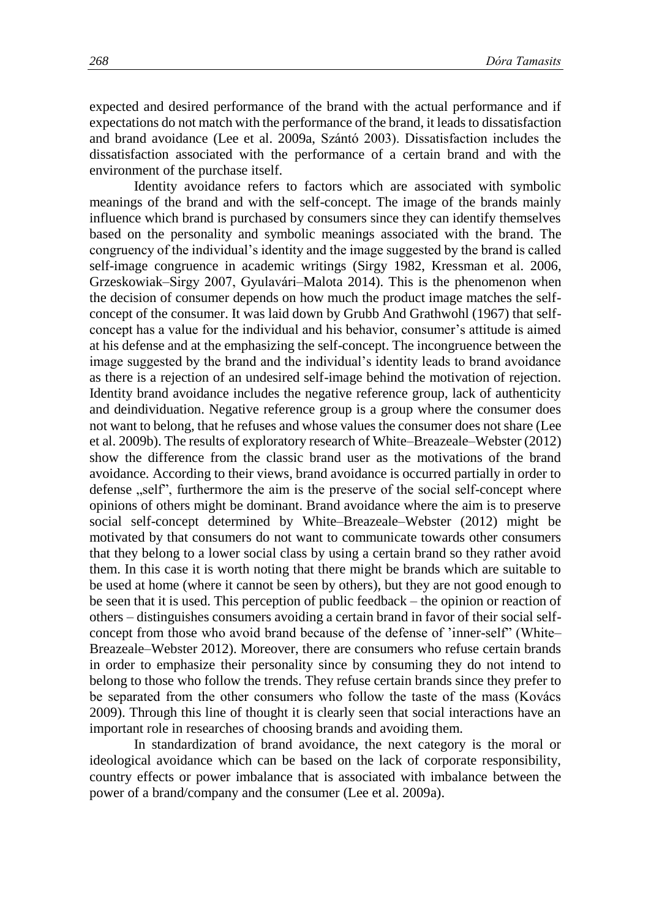expected and desired performance of the brand with the actual performance and if expectations do not match with the performance of the brand, it leads to dissatisfaction and brand avoidance (Lee et al. 2009a, Szántó 2003). Dissatisfaction includes the dissatisfaction associated with the performance of a certain brand and with the environment of the purchase itself.

Identity avoidance refers to factors which are associated with symbolic meanings of the brand and with the self-concept. The image of the brands mainly influence which brand is purchased by consumers since they can identify themselves based on the personality and symbolic meanings associated with the brand. The congruency of the individual's identity and the image suggested by the brand is called self-image congruence in academic writings (Sirgy 1982, Kressman et al. 2006, Grzeskowiak–Sirgy 2007, Gyulavári–Malota 2014). This is the phenomenon when the decision of consumer depends on how much the product image matches the selfconcept of the consumer. It was laid down by Grubb And Grathwohl (1967) that selfconcept has a value for the individual and his behavior, consumer's attitude is aimed at his defense and at the emphasizing the self-concept. The incongruence between the image suggested by the brand and the individual's identity leads to brand avoidance as there is a rejection of an undesired self-image behind the motivation of rejection. Identity brand avoidance includes the negative reference group, lack of authenticity and deindividuation. Negative reference group is a group where the consumer does not want to belong, that he refuses and whose values the consumer does not share (Lee et al. 2009b). The results of exploratory research of White–Breazeale–Webster (2012) show the difference from the classic brand user as the motivations of the brand avoidance. According to their views, brand avoidance is occurred partially in order to defense , self", furthermore the aim is the preserve of the social self-concept where opinions of others might be dominant. Brand avoidance where the aim is to preserve social self-concept determined by White–Breazeale–Webster (2012) might be motivated by that consumers do not want to communicate towards other consumers that they belong to a lower social class by using a certain brand so they rather avoid them. In this case it is worth noting that there might be brands which are suitable to be used at home (where it cannot be seen by others), but they are not good enough to be seen that it is used. This perception of public feedback – the opinion or reaction of others – distinguishes consumers avoiding a certain brand in favor of their social selfconcept from those who avoid brand because of the defense of 'inner-self" (White– Breazeale–Webster 2012). Moreover, there are consumers who refuse certain brands in order to emphasize their personality since by consuming they do not intend to belong to those who follow the trends. They refuse certain brands since they prefer to be separated from the other consumers who follow the taste of the mass (Kovács 2009). Through this line of thought it is clearly seen that social interactions have an important role in researches of choosing brands and avoiding them.

In standardization of brand avoidance, the next category is the moral or ideological avoidance which can be based on the lack of corporate responsibility, country effects or power imbalance that is associated with imbalance between the power of a brand/company and the consumer (Lee et al. 2009a).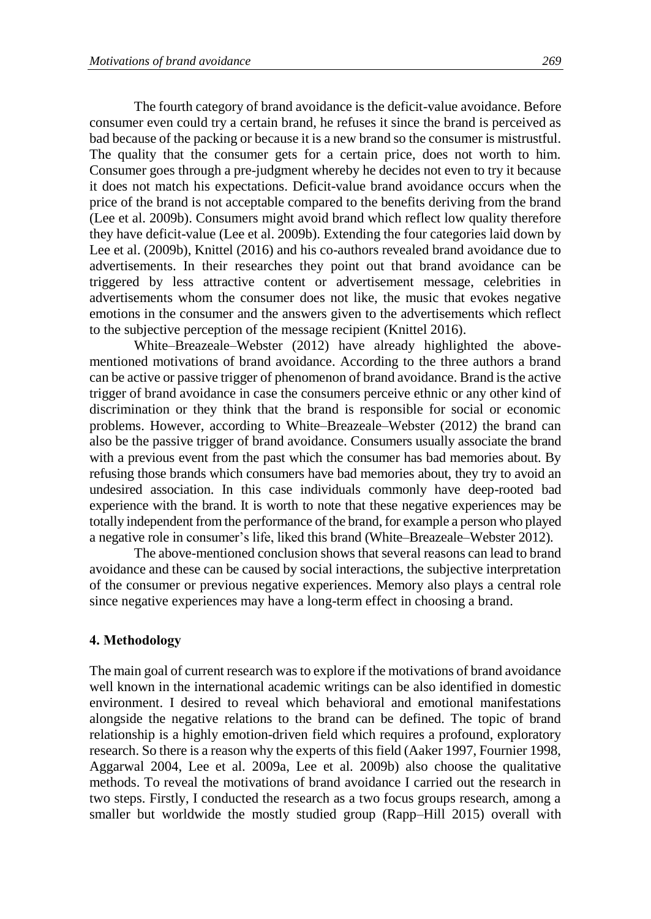The fourth category of brand avoidance is the deficit-value avoidance. Before consumer even could try a certain brand, he refuses it since the brand is perceived as bad because of the packing or because it is a new brand so the consumer is mistrustful. The quality that the consumer gets for a certain price, does not worth to him. Consumer goes through a pre-judgment whereby he decides not even to try it because it does not match his expectations. Deficit-value brand avoidance occurs when the price of the brand is not acceptable compared to the benefits deriving from the brand (Lee et al. 2009b). Consumers might avoid brand which reflect low quality therefore they have deficit-value (Lee et al. 2009b). Extending the four categories laid down by Lee et al. (2009b), Knittel (2016) and his co-authors revealed brand avoidance due to advertisements. In their researches they point out that brand avoidance can be triggered by less attractive content or advertisement message, celebrities in advertisements whom the consumer does not like, the music that evokes negative emotions in the consumer and the answers given to the advertisements which reflect to the subjective perception of the message recipient (Knittel 2016).

White–Breazeale–Webster (2012) have already highlighted the abovementioned motivations of brand avoidance. According to the three authors a brand can be active or passive trigger of phenomenon of brand avoidance. Brand is the active trigger of brand avoidance in case the consumers perceive ethnic or any other kind of discrimination or they think that the brand is responsible for social or economic problems. However, according to White–Breazeale–Webster (2012) the brand can also be the passive trigger of brand avoidance. Consumers usually associate the brand with a previous event from the past which the consumer has bad memories about. By refusing those brands which consumers have bad memories about, they try to avoid an undesired association. In this case individuals commonly have deep-rooted bad experience with the brand. It is worth to note that these negative experiences may be totally independent from the performance of the brand, for example a person who played a negative role in consumer's life, liked this brand (White–Breazeale–Webster 2012).

The above-mentioned conclusion shows that several reasons can lead to brand avoidance and these can be caused by social interactions, the subjective interpretation of the consumer or previous negative experiences. Memory also plays a central role since negative experiences may have a long-term effect in choosing a brand.

### **4. Methodology**

The main goal of current research was to explore if the motivations of brand avoidance well known in the international academic writings can be also identified in domestic environment. I desired to reveal which behavioral and emotional manifestations alongside the negative relations to the brand can be defined. The topic of brand relationship is a highly emotion-driven field which requires a profound, exploratory research. So there is a reason why the experts of this field (Aaker 1997, Fournier 1998, Aggarwal 2004, Lee et al. 2009a, Lee et al. 2009b) also choose the qualitative methods. To reveal the motivations of brand avoidance I carried out the research in two steps. Firstly, I conducted the research as a two focus groups research, among a smaller but worldwide the mostly studied group (Rapp–Hill 2015) overall with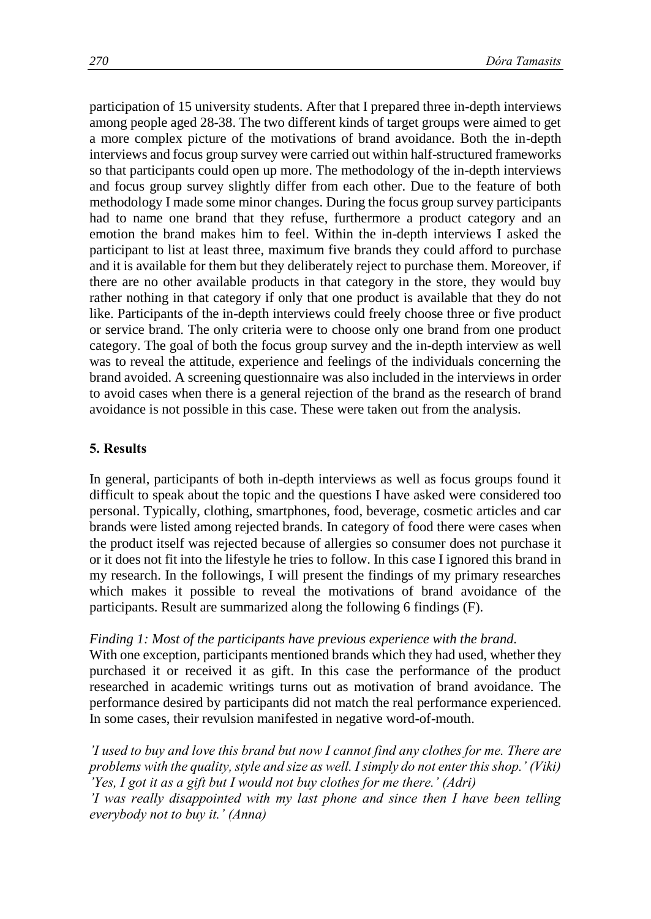participation of 15 university students. After that I prepared three in-depth interviews among people aged 28-38. The two different kinds of target groups were aimed to get a more complex picture of the motivations of brand avoidance. Both the in-depth interviews and focus group survey were carried out within half-structured frameworks so that participants could open up more. The methodology of the in-depth interviews and focus group survey slightly differ from each other. Due to the feature of both methodology I made some minor changes. During the focus group survey participants had to name one brand that they refuse, furthermore a product category and an emotion the brand makes him to feel. Within the in-depth interviews I asked the participant to list at least three, maximum five brands they could afford to purchase and it is available for them but they deliberately reject to purchase them. Moreover, if there are no other available products in that category in the store, they would buy rather nothing in that category if only that one product is available that they do not like. Participants of the in-depth interviews could freely choose three or five product or service brand. The only criteria were to choose only one brand from one product category. The goal of both the focus group survey and the in-depth interview as well was to reveal the attitude, experience and feelings of the individuals concerning the brand avoided. A screening questionnaire was also included in the interviews in order to avoid cases when there is a general rejection of the brand as the research of brand avoidance is not possible in this case. These were taken out from the analysis.

### **5. Results**

In general, participants of both in-depth interviews as well as focus groups found it difficult to speak about the topic and the questions I have asked were considered too personal. Typically, clothing, smartphones, food, beverage, cosmetic articles and car brands were listed among rejected brands. In category of food there were cases when the product itself was rejected because of allergies so consumer does not purchase it or it does not fit into the lifestyle he tries to follow. In this case I ignored this brand in my research. In the followings, I will present the findings of my primary researches which makes it possible to reveal the motivations of brand avoidance of the participants. Result are summarized along the following 6 findings (F).

### *Finding 1: Most of the participants have previous experience with the brand.*

With one exception, participants mentioned brands which they had used, whether they purchased it or received it as gift. In this case the performance of the product researched in academic writings turns out as motivation of brand avoidance. The performance desired by participants did not match the real performance experienced. In some cases, their revulsion manifested in negative word-of-mouth.

*'I used to buy and love this brand but now I cannot find any clothes for me. There are problems with the quality, style and size as well. I simply do not enter this shop.' (Viki) 'Yes, I got it as a gift but I would not buy clothes for me there.' (Adri) 'I was really disappointed with my last phone and since then I have been telling everybody not to buy it.' (Anna)*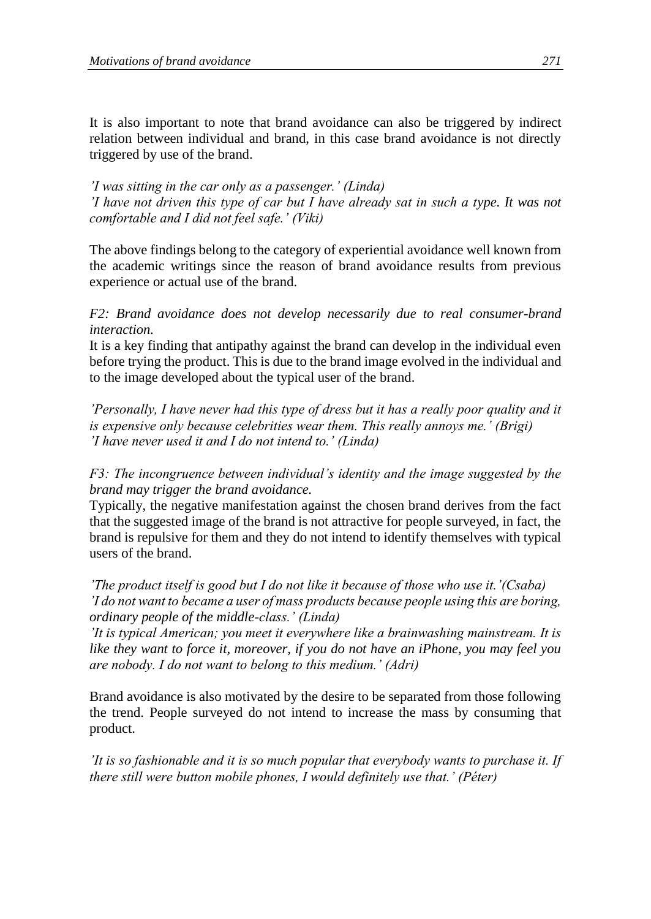It is also important to note that brand avoidance can also be triggered by indirect relation between individual and brand, in this case brand avoidance is not directly triggered by use of the brand.

*'I was sitting in the car only as a passenger.' (Linda) 'I have not driven this type of car but I have already sat in such a type. It was not comfortable and I did not feel safe.' (Viki)*

The above findings belong to the category of experiential avoidance well known from the academic writings since the reason of brand avoidance results from previous experience or actual use of the brand.

## *F2: Brand avoidance does not develop necessarily due to real consumer-brand interaction.*

It is a key finding that antipathy against the brand can develop in the individual even before trying the product. This is due to the brand image evolved in the individual and to the image developed about the typical user of the brand.

*'Personally, I have never had this type of dress but it has a really poor quality and it is expensive only because celebrities wear them. This really annoys me.' (Brigi) 'I have never used it and I do not intend to.' (Linda)*

*F3: The incongruence between individual's identity and the image suggested by the brand may trigger the brand avoidance.*

Typically, the negative manifestation against the chosen brand derives from the fact that the suggested image of the brand is not attractive for people surveyed, in fact, the brand is repulsive for them and they do not intend to identify themselves with typical users of the brand.

*'The product itself is good but I do not like it because of those who use it.'(Csaba) 'I do not want to became a user of mass products because people using this are boring, ordinary people of the middle-class.' (Linda)*

*'It is typical American; you meet it everywhere like a brainwashing mainstream. It is like they want to force it, moreover, if you do not have an iPhone, you may feel you are nobody. I do not want to belong to this medium.' (Adri)*

Brand avoidance is also motivated by the desire to be separated from those following the trend. People surveyed do not intend to increase the mass by consuming that product.

*'It is so fashionable and it is so much popular that everybody wants to purchase it. If there still were button mobile phones, I would definitely use that.' (Péter)*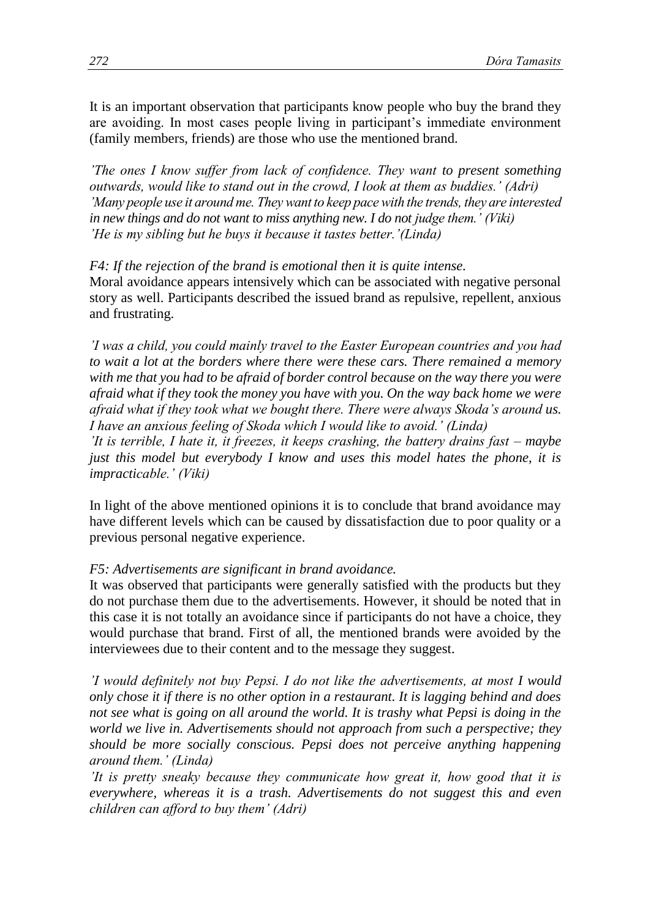It is an important observation that participants know people who buy the brand they are avoiding. In most cases people living in participant's immediate environment (family members, friends) are those who use the mentioned brand.

*'The ones I know suffer from lack of confidence. They want to present something outwards, would like to stand out in the crowd, I look at them as buddies.' (Adri) 'Many people use it around me. They want to keep pace with the trends, they are interested in new things and do not want to miss anything new. I do not judge them.' (Viki) 'He is my sibling but he buys it because it tastes better.'(Linda)*

*F4: If the rejection of the brand is emotional then it is quite intense.* Moral avoidance appears intensively which can be associated with negative personal story as well. Participants described the issued brand as repulsive, repellent, anxious and frustrating.

*'I was a child, you could mainly travel to the Easter European countries and you had to wait a lot at the borders where there were these cars. There remained a memory with me that you had to be afraid of border control because on the way there you were afraid what if they took the money you have with you. On the way back home we were afraid what if they took what we bought there. There were always Skoda's around us. I have an anxious feeling of Skoda which I would like to avoid.' (Linda)*

*'It is terrible, I hate it, it freezes, it keeps crashing, the battery drains fast – maybe just this model but everybody I know and uses this model hates the phone, it is impracticable.' (Viki)*

In light of the above mentioned opinions it is to conclude that brand avoidance may have different levels which can be caused by dissatisfaction due to poor quality or a previous personal negative experience.

### *F5: Advertisements are significant in brand avoidance.*

It was observed that participants were generally satisfied with the products but they do not purchase them due to the advertisements. However, it should be noted that in this case it is not totally an avoidance since if participants do not have a choice, they would purchase that brand. First of all, the mentioned brands were avoided by the interviewees due to their content and to the message they suggest.

*'I would definitely not buy Pepsi. I do not like the advertisements, at most I would only chose it if there is no other option in a restaurant. It is lagging behind and does not see what is going on all around the world. It is trashy what Pepsi is doing in the world we live in. Advertisements should not approach from such a perspective; they should be more socially conscious. Pepsi does not perceive anything happening around them.' (Linda)*

*'It is pretty sneaky because they communicate how great it, how good that it is everywhere, whereas it is a trash. Advertisements do not suggest this and even children can afford to buy them' (Adri)*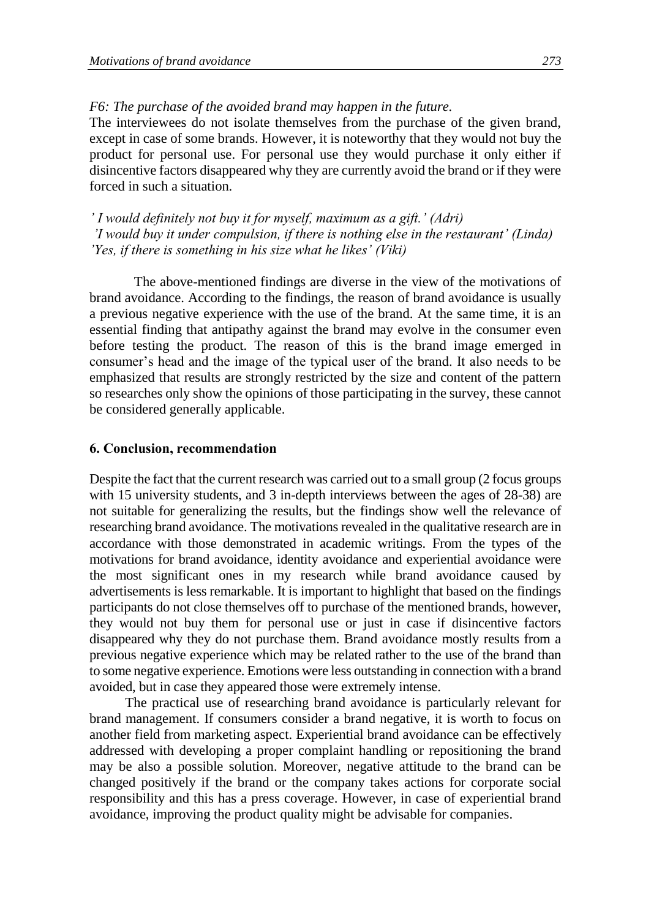### *F6: The purchase of the avoided brand may happen in the future.*

The interviewees do not isolate themselves from the purchase of the given brand, except in case of some brands. However, it is noteworthy that they would not buy the product for personal use. For personal use they would purchase it only either if disincentive factors disappeared why they are currently avoid the brand or if they were forced in such a situation.

*' I would definitely not buy it for myself, maximum as a gift.' (Adri) 'I would buy it under compulsion, if there is nothing else in the restaurant' (Linda) 'Yes, if there is something in his size what he likes' (Viki)*

The above-mentioned findings are diverse in the view of the motivations of brand avoidance. According to the findings, the reason of brand avoidance is usually a previous negative experience with the use of the brand. At the same time, it is an essential finding that antipathy against the brand may evolve in the consumer even before testing the product. The reason of this is the brand image emerged in consumer's head and the image of the typical user of the brand. It also needs to be emphasized that results are strongly restricted by the size and content of the pattern so researches only show the opinions of those participating in the survey, these cannot be considered generally applicable.

### **6. Conclusion, recommendation**

Despite the fact that the current research was carried out to a small group (2 focus groups with 15 university students, and 3 in-depth interviews between the ages of 28-38) are not suitable for generalizing the results, but the findings show well the relevance of researching brand avoidance. The motivations revealed in the qualitative research are in accordance with those demonstrated in academic writings. From the types of the motivations for brand avoidance, identity avoidance and experiential avoidance were the most significant ones in my research while brand avoidance caused by advertisements is less remarkable. It is important to highlight that based on the findings participants do not close themselves off to purchase of the mentioned brands, however, they would not buy them for personal use or just in case if disincentive factors disappeared why they do not purchase them. Brand avoidance mostly results from a previous negative experience which may be related rather to the use of the brand than to some negative experience. Emotions were less outstanding in connection with a brand avoided, but in case they appeared those were extremely intense.

The practical use of researching brand avoidance is particularly relevant for brand management. If consumers consider a brand negative, it is worth to focus on another field from marketing aspect. Experiential brand avoidance can be effectively addressed with developing a proper complaint handling or repositioning the brand may be also a possible solution. Moreover, negative attitude to the brand can be changed positively if the brand or the company takes actions for corporate social responsibility and this has a press coverage. However, in case of experiential brand avoidance, improving the product quality might be advisable for companies.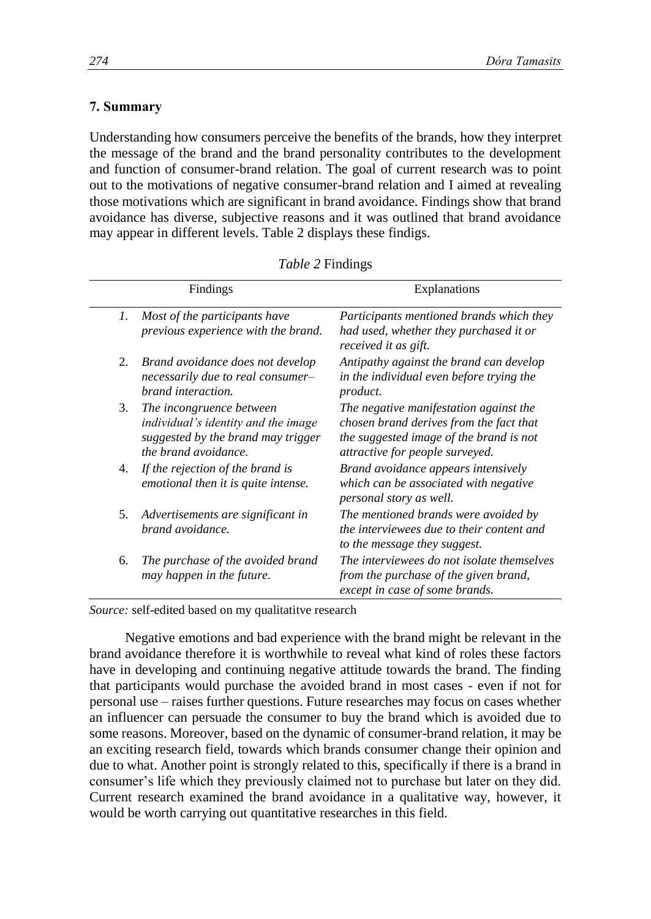### **7. Summary**

Understanding how consumers perceive the benefits of the brands, how they interpret the message of the brand and the brand personality contributes to the development and function of consumer-brand relation. The goal of current research was to point out to the motivations of negative consumer-brand relation and I aimed at revealing those motivations which are significant in brand avoidance. Findings show that brand avoidance has diverse, subjective reasons and it was outlined that brand avoidance may appear in different levels. Table 2 displays these findigs.

|    | Findings                                                                                                                      | Explanations                                                                                                                                                    |  |
|----|-------------------------------------------------------------------------------------------------------------------------------|-----------------------------------------------------------------------------------------------------------------------------------------------------------------|--|
| 1. | Most of the participants have<br>previous experience with the brand.                                                          | Participants mentioned brands which they<br>had used, whether they purchased it or<br>received it as gift.                                                      |  |
| 2. | Brand avoidance does not develop<br>necessarily due to real consumer-<br>brand interaction.                                   | Antipathy against the brand can develop<br>in the individual even before trying the<br>product.                                                                 |  |
| 3. | The incongruence between<br>individual's identity and the image<br>suggested by the brand may trigger<br>the brand avoidance. | The negative manifestation against the<br>chosen brand derives from the fact that<br>the suggested image of the brand is not<br>attractive for people surveyed. |  |
| 4. | If the rejection of the brand is<br>emotional then it is quite intense.                                                       | Brand avoidance appears intensively<br>which can be associated with negative<br>personal story as well.                                                         |  |
| 5. | Advertisements are significant in<br>brand avoidance.                                                                         | The mentioned brands were avoided by<br>the interviewees due to their content and<br>to the message they suggest.                                               |  |
| 6. | The purchase of the avoided brand<br>may happen in the future.                                                                | The interviewees do not isolate themselves<br>from the purchase of the given brand,<br>except in case of some brands.                                           |  |

*Table 2* Findings

*Source:* self-edited based on my qualitatitve research

Negative emotions and bad experience with the brand might be relevant in the brand avoidance therefore it is worthwhile to reveal what kind of roles these factors have in developing and continuing negative attitude towards the brand. The finding that participants would purchase the avoided brand in most cases - even if not for personal use – raises further questions. Future researches may focus on cases whether an influencer can persuade the consumer to buy the brand which is avoided due to some reasons. Moreover, based on the dynamic of consumer-brand relation, it may be an exciting research field, towards which brands consumer change their opinion and due to what. Another point is strongly related to this, specifically if there is a brand in consumer's life which they previously claimed not to purchase but later on they did. Current research examined the brand avoidance in a qualitative way, however, it would be worth carrying out quantitative researches in this field.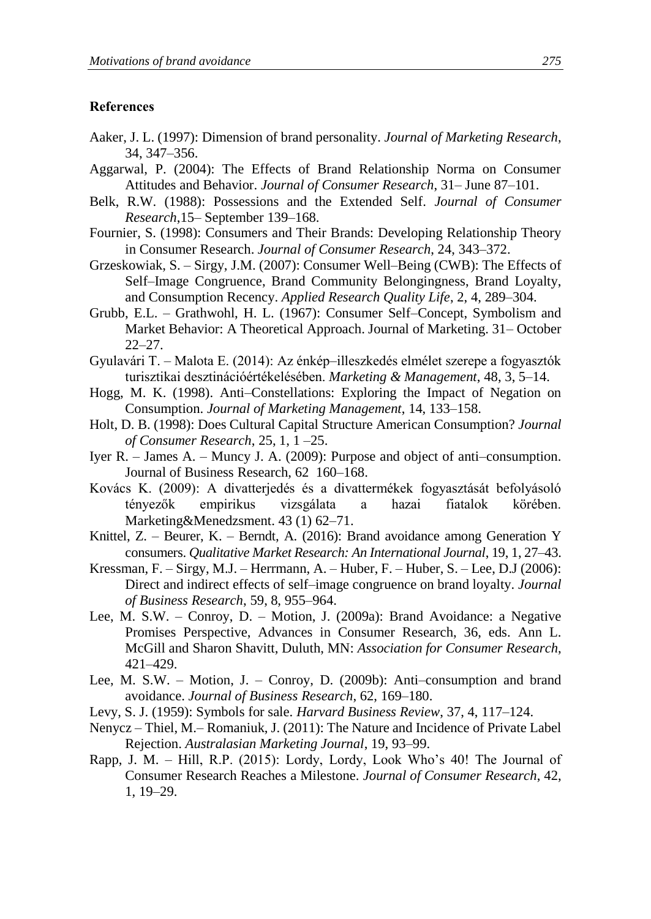#### **References**

- Aaker, J. L. (1997): Dimension of brand personality. *Journal of Marketing Research*, 34, 347–356.
- Aggarwal, P. (2004): The Effects of Brand Relationship Norma on Consumer Attitudes and Behavior. *Journal of Consumer Research*, 31– June 87–101.
- Belk, R.W. (1988): Possessions and the Extended Self. *Journal of Consumer Research*,15– September 139–168.
- Fournier, S. (1998): Consumers and Their Brands: Developing Relationship Theory in Consumer Research. *Journal of Consumer Research*, 24, 343–372.
- Grzeskowiak, S. Sirgy, J.M. (2007): Consumer Well–Being (CWB): The Effects of Self–Image Congruence, Brand Community Belongingness, Brand Loyalty, and Consumption Recency. *Applied Research Quality Life*, 2, 4, 289–304.
- Grubb, E.L. Grathwohl, H. L. (1967): Consumer Self–Concept, Symbolism and Market Behavior: A Theoretical Approach. Journal of Marketing. 31– October 22–27.
- Gyulavári T. Malota E. (2014): Az énkép–illeszkedés elmélet szerepe a fogyasztók turisztikai desztinációértékelésében. *Marketing & Management*, 48, 3, 5–14.
- Hogg, M. K. (1998). Anti–Constellations: Exploring the Impact of Negation on Consumption. *Journal of Marketing Management*, 14, 133–158.
- Holt, D. B. (1998): Does Cultural Capital Structure American Consumption? *Journal of Consumer Research*, 25, 1, 1 –25.
- Iyer R. James A. Muncy J. A. (2009): Purpose and object of anti–consumption. Journal of Business Research, 62 160–168.
- Kovács K. (2009): A divatterjedés és a divattermékek fogyasztását befolyásoló tényezők empirikus vizsgálata a hazai fiatalok körében. Marketing&Menedzsment. 43 (1) 62–71.
- Knittel, Z. Beurer, K. Berndt, A. (2016): Brand avoidance among Generation Y consumers. *Qualitative Market Research: An International Journal*, 19, 1, 27–43.
- Kressman, F. Sirgy, M.J. Herrmann, A. Huber, F. Huber, S. Lee, D.J (2006): Direct and indirect effects of self–image congruence on brand loyalty. *Journal of Business Research*, 59, 8, 955–964.
- Lee, M. S.W. Conroy, D. Motion, J. (2009a): Brand Avoidance: a Negative Promises Perspective, Advances in Consumer Research, 36, eds. Ann L. McGill and Sharon Shavitt, Duluth, MN: *Association for Consumer Research*, 421–429.
- Lee, M. S.W. Motion, J. Conroy, D. (2009b): Anti–consumption and brand avoidance. *Journal of Business Research*, 62, 169–180.
- Levy, S. J. (1959): Symbols for sale. *Harvard Business Review*, 37, 4, 117–124.
- Nenycz Thiel, M.– Romaniuk, J. (2011): The Nature and Incidence of Private Label Rejection. *Australasian Marketing Journal*, 19, 93–99.
- Rapp, J. M. Hill, R.P. (2015): Lordy, Lordy, Look Who's 40! The Journal of Consumer Research Reaches a Milestone. *Journal of Consumer Research*, 42, 1, 19–29.